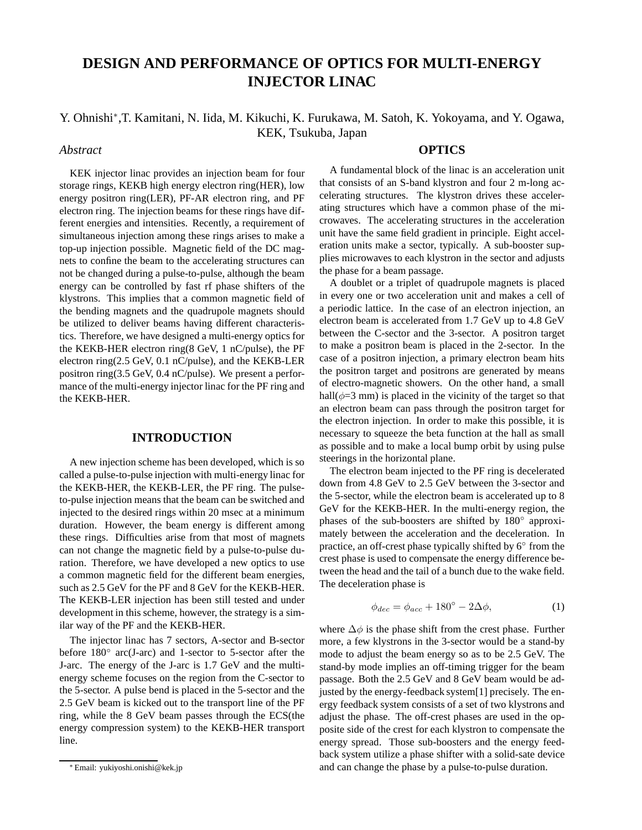# **DESIGN AND PERFORMANCE OF OPTICS FOR MULTI-ENERGY INJECTOR LINAC**

Y. Ohnishi<sup>∗</sup> ,T. Kamitani, N. Iida, M. Kikuchi, K. Furukawa, M. Satoh, K. Yokoyama, and Y. Ogawa, KEK, Tsukuba, Japan

# *Abstract*

**OPTICS**

KEK injector linac provides an injection beam for four storage rings, KEKB high energy electron ring(HER), low energy positron ring(LER), PF-AR electron ring, and PF electron ring. The injection beams for these rings have different energies and intensities. Recently, a requirement of simultaneous injection among these rings arises to make a top-up injection possible. Magnetic field of the DC magnets to confine the beam to the accelerating structures can not be changed during a pulse-to-pulse, although the beam energy can be controlled by fast rf phase shifters of the klystrons. This implies that a common magnetic field of the bending magnets and the quadrupole magnets should be utilized to deliver beams having different characteristics. Therefore, we have designed a multi-energy optics for the KEKB-HER electron ring(8 GeV, 1 nC/pulse), the PF electron ring(2.5 GeV, 0.1 nC/pulse), and the KEKB-LER positron ring(3.5 GeV, 0.4 nC/pulse). We present a performance of the multi-energy injector linac for the PF ring and the KEKB-HER.

# **INTRODUCTION**

A new injection scheme has been developed, which is so called a pulse-to-pulse injection with multi-energy linac for the KEKB-HER, the KEKB-LER, the PF ring. The pulseto-pulse injection means that the beam can be switched and injected to the desired rings within 20 msec at a minimum duration. However, the beam energy is different among these rings. Difficulties arise from that most of magnets can not change the magnetic field by a pulse-to-pulse duration. Therefore, we have developed a new optics to use a common magnetic field for the different beam energies, such as 2.5 GeV for the PF and 8 GeV for the KEKB-HER. The KEKB-LER injection has been still tested and under development in this scheme, however, the strategy is a similar way of the PF and the KEKB-HER.

The injector linac has 7 sectors, A-sector and B-sector before 180◦ arc(J-arc) and 1-sector to 5-sector after the J-arc. The energy of the J-arc is 1.7 GeV and the multienergy scheme focuses on the region from the C-sector to the 5-sector. A pulse bend is placed in the 5-sector and the 2.5 GeV beam is kicked out to the transport line of the PF ring, while the 8 GeV beam passes through the ECS(the energy compression system) to the KEKB-HER transport line.

A fundamental block of the linac is an acceleration unit that consists of an S-band klystron and four 2 m-long accelerating structures. The klystron drives these accelerating structures which have a common phase of the microwaves. The accelerating structures in the acceleration unit have the same field gradient in principle. Eight acceleration units make a sector, typically. A sub-booster supplies microwaves to each klystron in the sector and adjusts the phase for a beam passage.

A doublet or a triplet of quadrupole magnets is placed in every one or two acceleration unit and makes a cell of a periodic lattice. In the case of an electron injection, an electron beam is accelerated from 1.7 GeV up to 4.8 GeV between the C-sector and the 3-sector. A positron target to make a positron beam is placed in the 2-sector. In the case of a positron injection, a primary electron beam hits the positron target and positrons are generated by means of electro-magnetic showers. On the other hand, a small hall( $\phi$ =3 mm) is placed in the vicinity of the target so that an electron beam can pass through the positron target for the electron injection. In order to make this possible, it is necessary to squeeze the beta function at the hall as small as possible and to make a local bump orbit by using pulse steerings in the horizontal plane.

The electron beam injected to the PF ring is decelerated down from 4.8 GeV to 2.5 GeV between the 3-sector and the 5-sector, while the electron beam is accelerated up to 8 GeV for the KEKB-HER. In the multi-energy region, the phases of the sub-boosters are shifted by  $180^\circ$  approximately between the acceleration and the deceleration. In practice, an off-crest phase typically shifted by 6° from the crest phase is used to compensate the energy difference between the head and the tail of a bunch due to the wake field. The deceleration phase is

$$
\phi_{dec} = \phi_{acc} + 180^{\circ} - 2\Delta\phi, \tag{1}
$$

where  $\Delta \phi$  is the phase shift from the crest phase. Further more, a few klystrons in the 3-sector would be a stand-by mode to adjust the beam energy so as to be 2.5 GeV. The stand-by mode implies an off-timing trigger for the beam passage. Both the 2.5 GeV and 8 GeV beam would be adjusted by the energy-feedback system[1] precisely. The energy feedback system consists of a set of two klystrons and adjust the phase. The off-crest phases are used in the opposite side of the crest for each klystron to compensate the energy spread. Those sub-boosters and the energy feedback system utilize a phase shifter with a solid-sate device and can change the phase by a pulse-to-pulse duration.

<sup>∗</sup> Email: yukiyoshi.onishi@kek.jp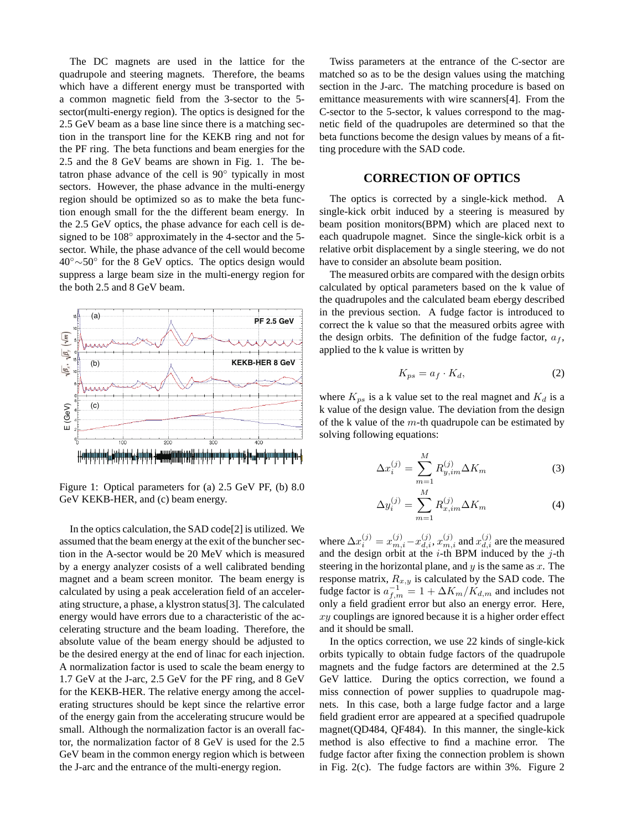The DC magnets are used in the lattice for the quadrupole and steering magnets. Therefore, the beams which have a different energy must be transported with a common magnetic field from the 3-sector to the 5 sector(multi-energy region). The optics is designed for the 2.5 GeV beam as a base line since there is a matching section in the transport line for the KEKB ring and not for the PF ring. The beta functions and beam energies for the 2.5 and the 8 GeV beams are shown in Fig. 1. The betatron phase advance of the cell is 90° typically in most sectors. However, the phase advance in the multi-energy region should be optimized so as to make the beta function enough small for the the different beam energy. In the 2.5 GeV optics, the phase advance for each cell is designed to be  $108^\circ$  approximately in the 4-sector and the 5sector. While, the phase advance of the cell would become 40◦∼50◦ for the 8 GeV optics. The optics design would suppress a large beam size in the multi-energy region for the both 2.5 and 8 GeV beam.



Figure 1: Optical parameters for (a) 2.5 GeV PF, (b) 8.0 GeV KEKB-HER, and (c) beam energy.

In the optics calculation, the SAD code[2] is utilized. We assumed that the beam energy at the exit of the buncher section in the A-sector would be 20 MeV which is measured by a energy analyzer cosists of a well calibrated bending magnet and a beam screen monitor. The beam energy is calculated by using a peak acceleration field of an accelerating structure, a phase, a klystron status[3]. The calculated energy would have errors due to a characteristic of the accelerating structure and the beam loading. Therefore, the absolute value of the beam energy should be adjusted to be the desired energy at the end of linac for each injection. A normalization factor is used to scale the beam energy to 1.7 GeV at the J-arc, 2.5 GeV for the PF ring, and 8 GeV for the KEKB-HER. The relative energy among the accelerating structures should be kept since the relartive error of the energy gain from the accelerating strucure would be small. Although the normalization factor is an overall factor, the normalization factor of 8 GeV is used for the 2.5 GeV beam in the common energy region which is between the J-arc and the entrance of the multi-energy region.

Twiss parameters at the entrance of the C-sector are matched so as to be the design values using the matching section in the J-arc. The matching procedure is based on emittance measurements with wire scanners[4]. From the C-sector to the 5-sector, k values correspond to the magnetic field of the quadrupoles are determined so that the beta functions become the design values by means of a fitting procedure with the SAD code.

### **CORRECTION OF OPTICS**

The optics is corrected by a single-kick method. A single-kick orbit induced by a steering is measured by beam position monitors(BPM) which are placed next to each quadrupole magnet. Since the single-kick orbit is a relative orbit displacement by a single steering, we do not have to consider an absolute beam position.

The measured orbits are compared with the design orbits calculated by optical parameters based on the k value of the quadrupoles and the calculated beam ebergy described in the previous section. A fudge factor is introduced to correct the k value so that the measured orbits agree with the design orbits. The definition of the fudge factor,  $a_f$ , applied to the k value is written by

$$
K_{ps} = a_f \cdot K_d,\tag{2}
$$

where  $K_{ps}$  is a k value set to the real magnet and  $K_d$  is a k value of the design value. The deviation from the design of the k value of the  $m$ -th quadrupole can be estimated by solving following equations:

$$
\Delta x_i^{(j)} = \sum_{m=1}^M R_{y,im}^{(j)} \Delta K_m \tag{3}
$$

$$
\Delta y_i^{(j)} = \sum_{m=1}^{M} R_{x, im}^{(j)} \Delta K_m
$$
 (4)

where  $\Delta x_i^{(j)}=x_{m,i}^{(j)}-x_{d,i}^{(j)},x_{m,i}^{(j)}$  and  $x_{d,i}^{(j)}$  are the measured and the design orbit at the  $i$ -th BPM induced by the  $j$ -th steering in the horizontal plane, and  $y$  is the same as  $x$ . The response matrix,  $R_{x,y}$  is calculated by the SAD code. The fudge factor is  $a_{f,m}^{-1} = 1 + \Delta K_m / K_{d,m}$  and includes not only a field gradient error but also an energy error. Here, xy couplings are ignored because it is a higher order effect and it should be small.

In the optics correction, we use 22 kinds of single-kick orbits typically to obtain fudge factors of the quadrupole magnets and the fudge factors are determined at the 2.5 GeV lattice. During the optics correction, we found a miss connection of power supplies to quadrupole magnets. In this case, both a large fudge factor and a large field gradient error are appeared at a specified quadrupole magnet(QD484, QF484). In this manner, the single-kick method is also effective to find a machine error. The fudge factor after fixing the connection problem is shown in Fig. 2(c). The fudge factors are within 3%. Figure 2